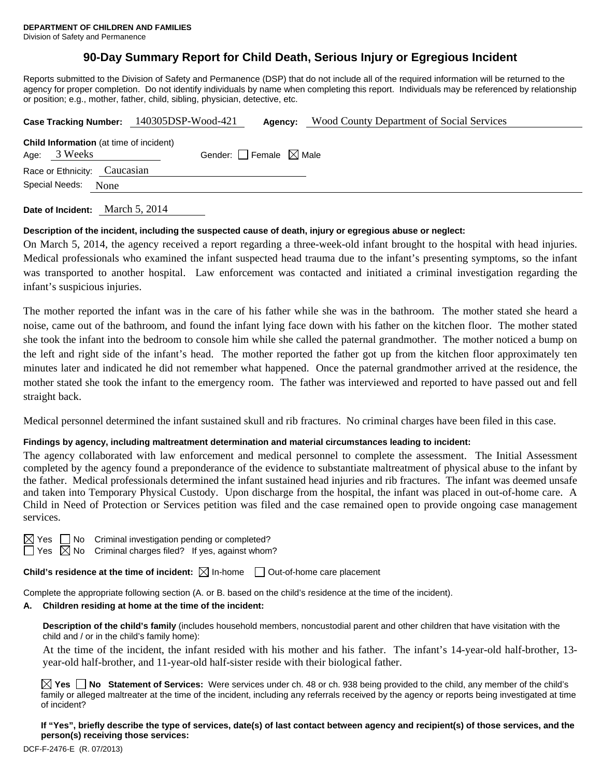## **90-Day Summary Report for Child Death, Serious Injury or Egregious Incident**

Reports submitted to the Division of Safety and Permanence (DSP) that do not include all of the required information will be returned to the agency for proper completion. Do not identify individuals by name when completing this report. Individuals may be referenced by relationship or position; e.g., mother, father, child, sibling, physician, detective, etc.

|                              |              |                                                | Case Tracking Number: 140305DSP-Wood-421 | Agency:                         | <b>Wood County Department of Social Services</b> |  |  |  |
|------------------------------|--------------|------------------------------------------------|------------------------------------------|---------------------------------|--------------------------------------------------|--|--|--|
|                              | Age: 3 Weeks | <b>Child Information</b> (at time of incident) |                                          | Gender: Female $\boxtimes$ Male |                                                  |  |  |  |
| Race or Ethnicity: Caucasian |              |                                                |                                          |                                 |                                                  |  |  |  |
| Special Needs: None          |              |                                                |                                          |                                 |                                                  |  |  |  |
|                              |              |                                                |                                          |                                 |                                                  |  |  |  |

**Date of Incident:** March 5, 2014

#### **Description of the incident, including the suspected cause of death, injury or egregious abuse or neglect:**

On March 5, 2014, the agency received a report regarding a three-week-old infant brought to the hospital with head injuries. Medical professionals who examined the infant suspected head trauma due to the infant's presenting symptoms, so the infant was transported to another hospital. Law enforcement was contacted and initiated a criminal investigation regarding the infant's suspicious injuries.

The mother reported the infant was in the care of his father while she was in the bathroom. The mother stated she heard a noise, came out of the bathroom, and found the infant lying face down with his father on the kitchen floor. The mother stated she took the infant into the bedroom to console him while she called the paternal grandmother. The mother noticed a bump on the left and right side of the infant's head. The mother reported the father got up from the kitchen floor approximately ten minutes later and indicated he did not remember what happened. Once the paternal grandmother arrived at the residence, the mother stated she took the infant to the emergency room. The father was interviewed and reported to have passed out and fell straight back.

Medical personnel determined the infant sustained skull and rib fractures. No criminal charges have been filed in this case.

#### **Findings by agency, including maltreatment determination and material circumstances leading to incident:**

The agency collaborated with law enforcement and medical personnel to complete the assessment. The Initial Assessment completed by the agency found a preponderance of the evidence to substantiate maltreatment of physical abuse to the infant by the father. Medical professionals determined the infant sustained head injuries and rib fractures. The infant was deemed unsafe and taken into Temporary Physical Custody. Upon discharge from the hospital, the infant was placed in out-of-home care. A Child in Need of Protection or Services petition was filed and the case remained open to provide ongoing case management services.

| $\times$<br>╱ | Y<br>یہ<br>× |  |
|---------------|--------------|--|
|               |              |  |

 $\Box$  No Criminal investigation pending or completed?

 $\Box$  Yes  $\overline{\boxtimes}$  No Criminal charges filed? If yes, against whom?

**Child's residence at the time of incident:**  $\boxtimes$  In-home  $\Box$  Out-of-home care placement

Complete the appropriate following section (A. or B. based on the child's residence at the time of the incident).

#### **A. Children residing at home at the time of the incident:**

**Description of the child's family** (includes household members, noncustodial parent and other children that have visitation with the child and / or in the child's family home):

 At the time of the incident, the infant resided with his mother and his father. The infant's 14-year-old half-brother, 13 year-old half-brother, and 11-year-old half-sister reside with their biological father.

**Yes No Statement of Services:** Were services under ch. 48 or ch. 938 being provided to the child, any member of the child's family or alleged maltreater at the time of the incident, including any referrals received by the agency or reports being investigated at time of incident?

**If "Yes", briefly describe the type of services, date(s) of last contact between agency and recipient(s) of those services, and the person(s) receiving those services:**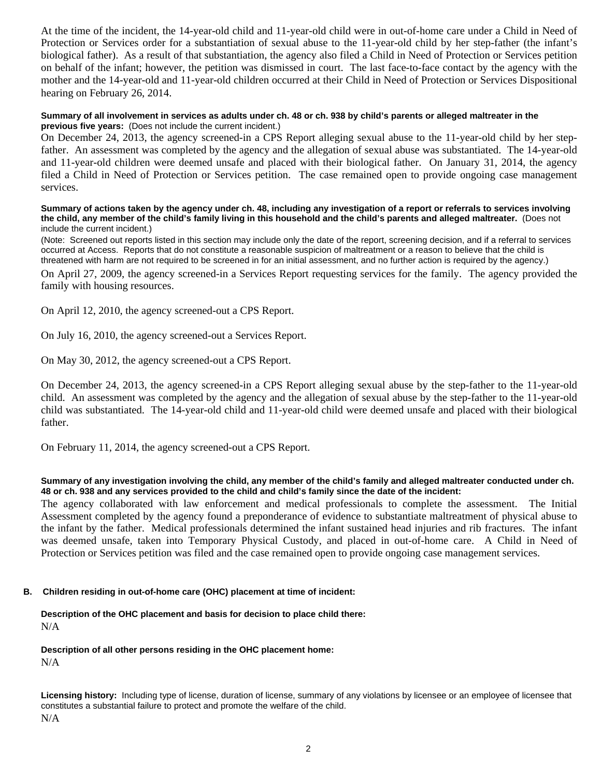At the time of the incident, the 14-year-old child and 11-year-old child were in out-of-home care under a Child in Need of Protection or Services order for a substantiation of sexual abuse to the 11-year-old child by her step-father (the infant's biological father). As a result of that substantiation, the agency also filed a Child in Need of Protection or Services petition on behalf of the infant; however, the petition was dismissed in court. The last face-to-face contact by the agency with the mother and the 14-year-old and 11-year-old children occurred at their Child in Need of Protection or Services Dispositional hearing on February 26, 2014.

#### **Summary of all involvement in services as adults under ch. 48 or ch. 938 by child's parents or alleged maltreater in the previous five years:** (Does not include the current incident.)

On December 24, 2013, the agency screened-in a CPS Report alleging sexual abuse to the 11-year-old child by her stepfather. An assessment was completed by the agency and the allegation of sexual abuse was substantiated. The 14-year-old and 11-year-old children were deemed unsafe and placed with their biological father. On January 31, 2014, the agency filed a Child in Need of Protection or Services petition. The case remained open to provide ongoing case management services.

#### **Summary of actions taken by the agency under ch. 48, including any investigation of a report or referrals to services involving the child, any member of the child's family living in this household and the child's parents and alleged maltreater.** (Does not include the current incident.)

(Note: Screened out reports listed in this section may include only the date of the report, screening decision, and if a referral to services occurred at Access. Reports that do not constitute a reasonable suspicion of maltreatment or a reason to believe that the child is threatened with harm are not required to be screened in for an initial assessment, and no further action is required by the agency.)

On April 27, 2009, the agency screened-in a Services Report requesting services for the family. The agency provided the family with housing resources.

On April 12, 2010, the agency screened-out a CPS Report.

On July 16, 2010, the agency screened-out a Services Report.

On May 30, 2012, the agency screened-out a CPS Report.

On December 24, 2013, the agency screened-in a CPS Report alleging sexual abuse by the step-father to the 11-year-old child. An assessment was completed by the agency and the allegation of sexual abuse by the step-father to the 11-year-old child was substantiated. The 14-year-old child and 11-year-old child were deemed unsafe and placed with their biological father.

On February 11, 2014, the agency screened-out a CPS Report.

#### **Summary of any investigation involving the child, any member of the child's family and alleged maltreater conducted under ch. 48 or ch. 938 and any services provided to the child and child's family since the date of the incident:**

The agency collaborated with law enforcement and medical professionals to complete the assessment. The Initial Assessment completed by the agency found a preponderance of evidence to substantiate maltreatment of physical abuse to the infant by the father. Medical professionals determined the infant sustained head injuries and rib fractures. The infant was deemed unsafe, taken into Temporary Physical Custody, and placed in out-of-home care. A Child in Need of Protection or Services petition was filed and the case remained open to provide ongoing case management services.

#### **B. Children residing in out-of-home care (OHC) placement at time of incident:**

#### **Description of the OHC placement and basis for decision to place child there:** N/A

**Description of all other persons residing in the OHC placement home:** N/A

**Licensing history:** Including type of license, duration of license, summary of any violations by licensee or an employee of licensee that constitutes a substantial failure to protect and promote the welfare of the child. N/A